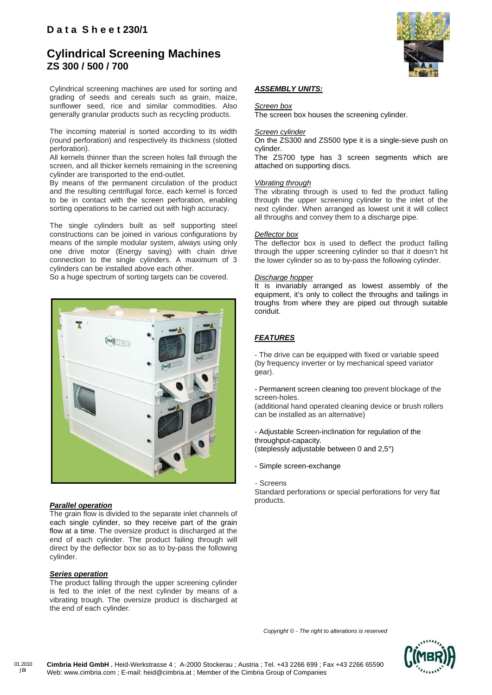### **Cylindrical Screening Machines ZS 300 / 500 / 700**

Cylindrical screening machines are used for sorting and grading of seeds and cereals such as grain, maize, sunflower seed, rice and similar commodities. Also generally granular products such as recycling products.

The incoming material is sorted according to its width (round perforation) and respectively its thickness (slotted perforation).

All kernels thinner than the screen holes fall through the screen, and all thicker kernels remaining in the screening cylinder are transported to the end-outlet.

By means of the permanent circulation of the product and the resulting centrifugal force, each kernel is forced to be in contact with the screen perforation, enabling sorting operations to be carried out with high accuracy.

The single cylinders built as self supporting steel constructions can be joined in various configurations by means of the simple modular system, always using only one drive motor (Energy saving) with chain drive connection to the single cylinders. A maximum of 3 cylinders can be installed above each other.

So a huge spectrum of sorting targets can be covered.



#### *Parallel operation*

The grain flow is divided to the separate inlet channels of each single cylinder, so they receive part of the grain flow at a time. The oversize product is discharged at the end of each cylinder. The product failing through will direct by the deflector box so as to by-pass the following cylinder.

#### *Series operation*

The product falling through the upper screening cylinder is fed to the inlet of the next cylinder by means of a vibrating trough. The oversize product is discharged at the end of each cylinder.



#### *ASSEMBLY UNITS:*

*Screen box*

The screen box houses the screening cylinder.

#### *Screen cylinder*

On the ZS300 and ZS500 type it is a single-sieve push on cylinder.

The ZS700 type has 3 screen segments which are attached on supporting discs.

#### *Vibrating through*

The vibrating through is used to fed the product falling through the upper screening cylinder to the inlet of the next cylinder. When arranged as lowest unit it will collect all throughs and convey them to a discharge pipe.

#### *Deflector box*

The deflector box is used to deflect the product falling through the upper screening cylinder so that it doesn't hit the lower cylinder so as to by-pass the following cylinder.

#### *Discharge hopper*

It is invariably arranged as lowest assembly of the equipment, it's only to collect the throughs and tailings in troughs from where they are piped out through suitable conduit.

### *FEATURES*

- The drive can be equipped with fixed or variable speed (by frequency inverter or by mechanical speed variator gear).

- Permanent screen cleaning too prevent blockage of the screen-holes.

(additional hand operated cleaning device or brush rollers can be installed as an alternative)

- Adjustable Screen-inclination for regulation of the throughput-capacity. (steplessly adjustable between 0 and 2,5°)

- Simple screen-exchange
- Screens

Standard perforations or special perforations for very flat products.

 *Copyright © - The right to alterations is reserved*